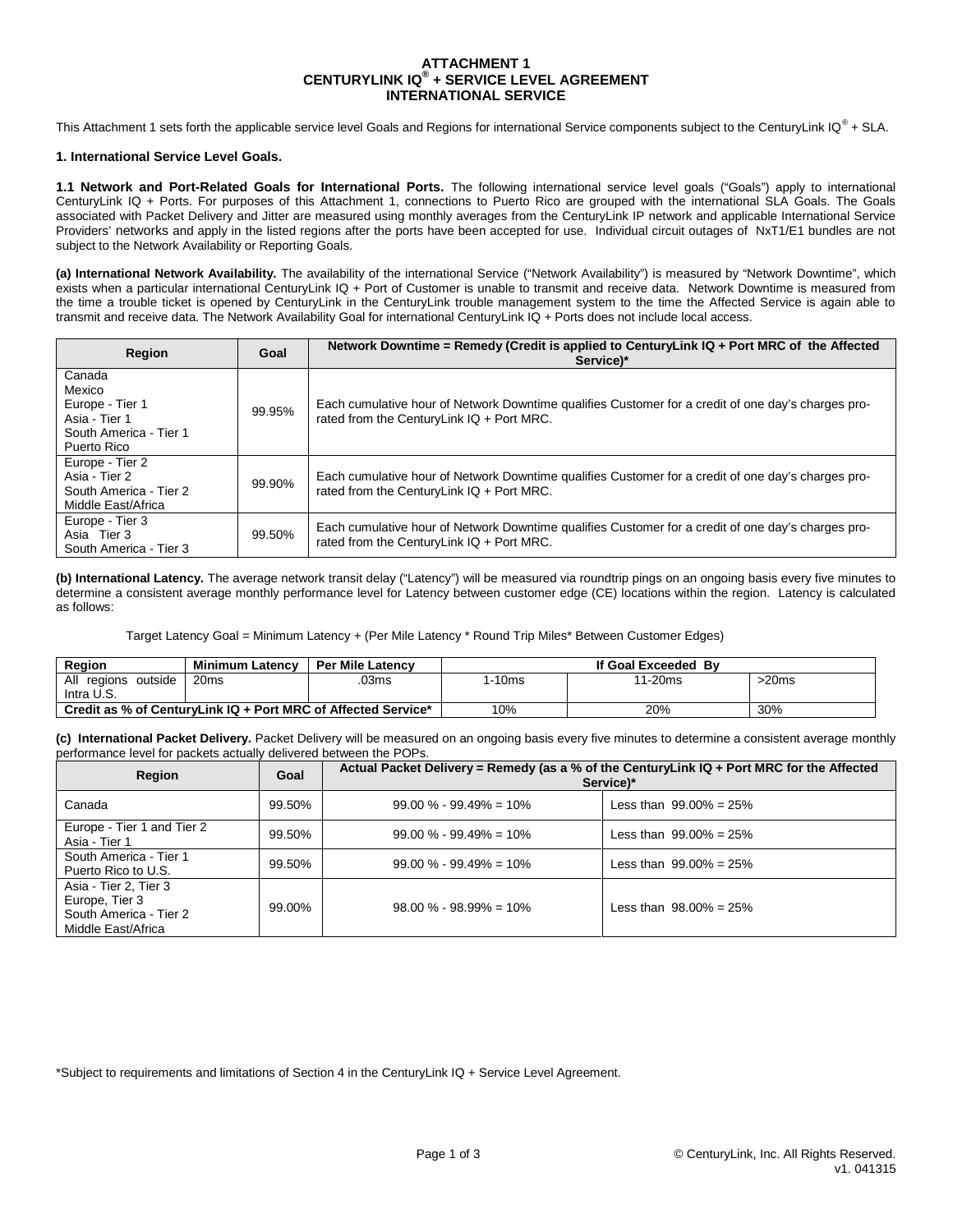### **ATTACHMENT 1 CENTURYLINK IQ® + SERVICE LEVEL AGREEMENT INTERNATIONAL SERVICE**

This Attachment 1 sets forth the applicable service level Goals and Regions for international Service components subject to the CenturyLink IQ<sup>®</sup> + SLA.

#### **1. International Service Level Goals.**

**1.1 Network and Port-Related Goals for International Ports.** The following international service level goals ("Goals") apply to international CenturyLink IQ + Ports. For purposes of this Attachment 1, connections to Puerto Rico are grouped with the international SLA Goals. The Goals associated with Packet Delivery and Jitter are measured using monthly averages from the CenturyLink IP network and applicable International Service Providers' networks and apply in the listed regions after the ports have been accepted for use. Individual circuit outages of NxT1/E1 bundles are not subject to the Network Availability or Reporting Goals.

**(a) International Network Availability.** The availability of the international Service ("Network Availability") is measured by "Network Downtime", which exists when a particular international CenturyLink IQ + Port of Customer is unable to transmit and receive data. Network Downtime is measured from the time a trouble ticket is opened by CenturyLink in the CenturyLink trouble management system to the time the Affected Service is again able to transmit and receive data. The Network Availability Goal for international CenturyLink IQ + Ports does not include local access.

| Region                                                                                        | Goal   | Network Downtime = Remedy (Credit is applied to CenturyLink $IQ + Port MRC$ of the Affected<br>Service)*                                           |
|-----------------------------------------------------------------------------------------------|--------|----------------------------------------------------------------------------------------------------------------------------------------------------|
| Canada<br>Mexico<br>Europe - Tier 1<br>Asia - Tier 1<br>South America - Tier 1<br>Puerto Rico | 99.95% | Each cumulative hour of Network Downtime qualifies Customer for a credit of one day's charges pro-<br>rated from the CenturyLink $IQ + Port MRC$ . |
| Europe - Tier 2<br>Asia - Tier 2<br>South America - Tier 2<br>Middle East/Africa              | 99.90% | Each cumulative hour of Network Downtime qualifies Customer for a credit of one day's charges pro-<br>rated from the CenturyLink $IQ + Port MRC$ . |
| Europe - Tier 3<br>Asia Tier 3<br>South America - Tier 3                                      | 99.50% | Each cumulative hour of Network Downtime qualifies Customer for a credit of one day's charges pro-<br>rated from the CenturyLink IQ + Port MRC.    |

**(b) International Latency.** The average network transit delay ("Latency") will be measured via roundtrip pings on an ongoing basis every five minutes to determine a consistent average monthly performance level for Latency between customer edge (CE) locations within the region. Latency is calculated as follows:

Target Latency Goal = Minimum Latency + (Per Mile Latency \* Round Trip Miles\* Between Customer Edges)

| Region                                                        | <b>Minimum Latency</b> | <b>Per Mile Latency</b> | If Goal Exceeded By |         |       |
|---------------------------------------------------------------|------------------------|-------------------------|---------------------|---------|-------|
| All<br>outside<br>reaions                                     | 20ms                   | 03ms                    | 1-10ms              | 11-20ms | >20ms |
| Intra U.S.                                                    |                        |                         |                     |         |       |
| Credit as % of CenturyLink IQ + Port MRC of Affected Service* |                        | 10%                     | 20%                 | 30%     |       |

**(c) International Packet Delivery.** Packet Delivery will be measured on an ongoing basis every five minutes to determine a consistent average monthly performance level for packets actually delivered between the POPs.

| Region                                                                                  | Goal   | Actual Packet Delivery = Remedy (as a % of the CenturyLink IQ + Port MRC for the Affected<br>Service)* |                            |
|-----------------------------------------------------------------------------------------|--------|--------------------------------------------------------------------------------------------------------|----------------------------|
| Canada                                                                                  | 99.50% | $99.00\% - 99.49\% = 10\%$                                                                             | Less than $99.00\% = 25\%$ |
| Europe - Tier 1 and Tier 2<br>Asia - Tier 1                                             | 99.50% | $99.00\% - 99.49\% = 10\%$                                                                             | Less than $99.00\% = 25\%$ |
| South America - Tier 1<br>Puerto Rico to U.S.                                           | 99.50% | $99.00\% - 99.49\% = 10\%$                                                                             | Less than $99.00\% = 25\%$ |
| Asia - Tier 2, Tier 3<br>Europe, Tier 3<br>South America - Tier 2<br>Middle East/Africa | 99.00% | $98.00 \% - 98.99\% = 10\%$                                                                            | Less than $98.00\% = 25\%$ |

\*Subject to requirements and limitations of Section 4 in the CenturyLink IQ + Service Level Agreement.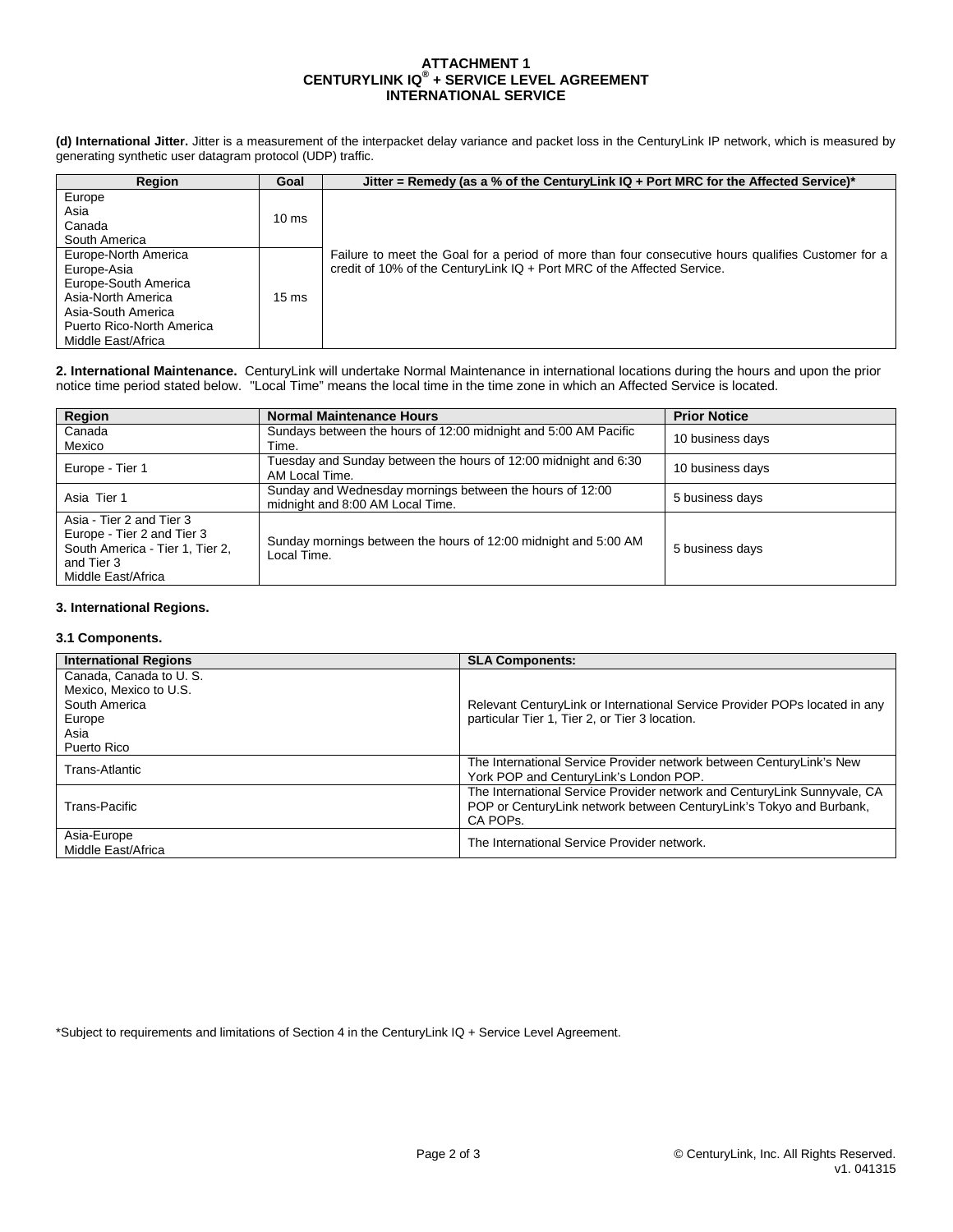# **ATTACHMENT 1 CENTURYLINK IQ® + SERVICE LEVEL AGREEMENT INTERNATIONAL SERVICE**

**(d) International Jitter.** Jitter is a measurement of the interpacket delay variance and packet loss in the CenturyLink IP network, which is measured by generating synthetic user datagram protocol (UDP) traffic.

| <b>Region</b>             | Goal            | Jitter = Remedy (as a % of the CenturyLink $IQ + Port MRC$ for the Affected Service)*              |
|---------------------------|-----------------|----------------------------------------------------------------------------------------------------|
| Europe                    |                 |                                                                                                    |
| Asia                      | $10 \text{ ms}$ |                                                                                                    |
| Canada                    |                 |                                                                                                    |
| South America             |                 |                                                                                                    |
| Europe-North America      |                 | Failure to meet the Goal for a period of more than four consecutive hours qualifies Customer for a |
| Europe-Asia               |                 | credit of 10% of the CenturyLink IQ + Port MRC of the Affected Service.                            |
| Europe-South America      |                 |                                                                                                    |
| Asia-North America        | $15 \text{ ms}$ |                                                                                                    |
| Asia-South America        |                 |                                                                                                    |
| Puerto Rico-North America |                 |                                                                                                    |
| Middle East/Africa        |                 |                                                                                                    |

**2. International Maintenance.** CenturyLink will undertake Normal Maintenance in international locations during the hours and upon the prior notice time period stated below. "Local Time" means the local time in the time zone in which an Affected Service is located.

| Region                                                                                                                        | <b>Normal Maintenance Hours</b>                                                              | <b>Prior Notice</b> |
|-------------------------------------------------------------------------------------------------------------------------------|----------------------------------------------------------------------------------------------|---------------------|
| Canada<br>Mexico                                                                                                              | Sundays between the hours of 12:00 midnight and 5:00 AM Pacific<br>Time.                     | 10 business days    |
| Europe - Tier 1                                                                                                               | Tuesday and Sunday between the hours of 12:00 midnight and 6:30<br>AM Local Time.            | 10 business days    |
| Asia Tier 1                                                                                                                   | Sunday and Wednesday mornings between the hours of 12:00<br>midnight and 8:00 AM Local Time. | 5 business days     |
| Asia - Tier 2 and Tier 3<br>Europe - Tier 2 and Tier 3<br>South America - Tier 1, Tier 2,<br>and Tier 3<br>Middle East/Africa | Sunday mornings between the hours of 12:00 midnight and 5:00 AM<br>Local Time.               | 5 business days     |

# **3. International Regions.**

# **3.1 Components.**

| <b>International Regions</b> | <b>SLA Components:</b>                                                     |
|------------------------------|----------------------------------------------------------------------------|
| Canada, Canada to U.S.       |                                                                            |
| Mexico. Mexico to U.S.       |                                                                            |
| South America                | Relevant CenturyLink or International Service Provider POPs located in any |
| Europe                       | particular Tier 1, Tier 2, or Tier 3 location.                             |
| Asia                         |                                                                            |
| Puerto Rico                  |                                                                            |
| Trans-Atlantic               | The International Service Provider network between CenturyLink's New       |
|                              | York POP and CenturyLink's London POP.                                     |
|                              | The International Service Provider network and CenturyLink Sunnyvale, CA   |
| Trans-Pacific                | POP or CenturyLink network between CenturyLink's Tokyo and Burbank,        |
|                              | CA POPS.                                                                   |
| Asia-Europe                  | The International Service Provider network.                                |
| Middle East/Africa           |                                                                            |

\*Subject to requirements and limitations of Section 4 in the CenturyLink IQ + Service Level Agreement.